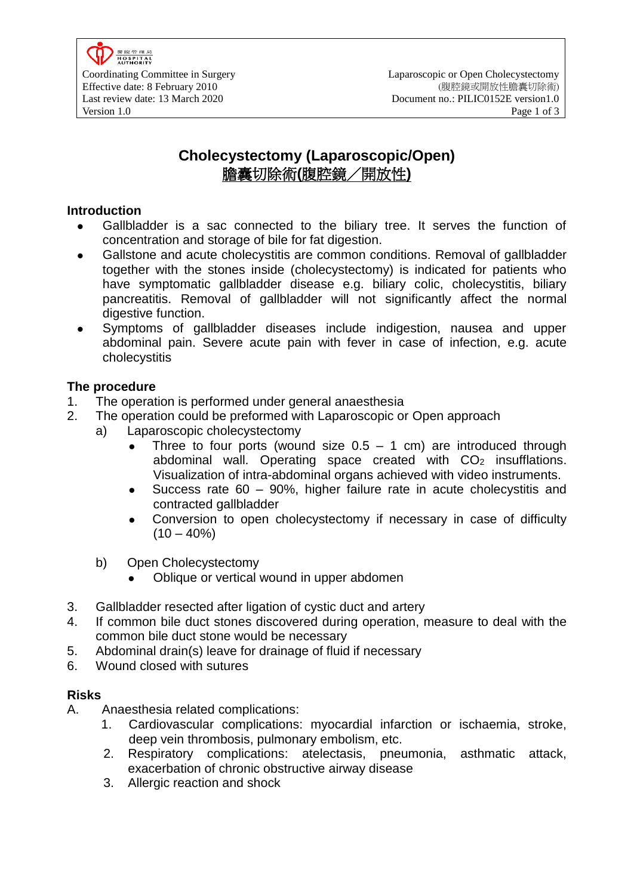

# **Cholecystectomy (Laparoscopic/Open)** 膽囊切除術**(**腹腔鏡/開放性**)**

#### **Introduction**

- Gallbladder is a sac connected to the biliary tree. It serves the function of concentration and storage of bile for fat digestion.
- Gallstone and acute cholecystitis are common conditions. Removal of gallbladder together with the stones inside (cholecystectomy) is indicated for patients who have symptomatic gallbladder disease e.g. biliary colic, cholecystitis, biliary pancreatitis. Removal of gallbladder will not significantly affect the normal digestive function.
- Symptoms of gallbladder diseases include indigestion, nausea and upper abdominal pain. Severe acute pain with fever in case of infection, e.g. acute cholecystitis

### **The procedure**

- 1. The operation is performed under general anaesthesia
- 2. The operation could be preformed with Laparoscopic or Open approach
	- a) Laparoscopic cholecystectomy
		- Three to four ports (wound size  $0.5 1$  cm) are introduced through abdominal wall. Operating space created with  $CO<sub>2</sub>$  insufflations. Visualization of intra-abdominal organs achieved with video instruments.
		- Success rate 60 90%, higher failure rate in acute cholecystitis and contracted gallbladder
		- Conversion to open cholecystectomy if necessary in case of difficulty  $(10 - 40\%)$
	- b) Open Cholecystectomy
		- Oblique or vertical wound in upper abdomen
- 3. Gallbladder resected after ligation of cystic duct and artery
- 4. If common bile duct stones discovered during operation, measure to deal with the common bile duct stone would be necessary
- 5. Abdominal drain(s) leave for drainage of fluid if necessary
- 6. Wound closed with sutures

### **Risks**

- A. Anaesthesia related complications:
	- 1. Cardiovascular complications: myocardial infarction or ischaemia, stroke, deep vein thrombosis, pulmonary embolism, etc.
	- 2. Respiratory complications: atelectasis, pneumonia, asthmatic attack, exacerbation of chronic obstructive airway disease
	- 3. Allergic reaction and shock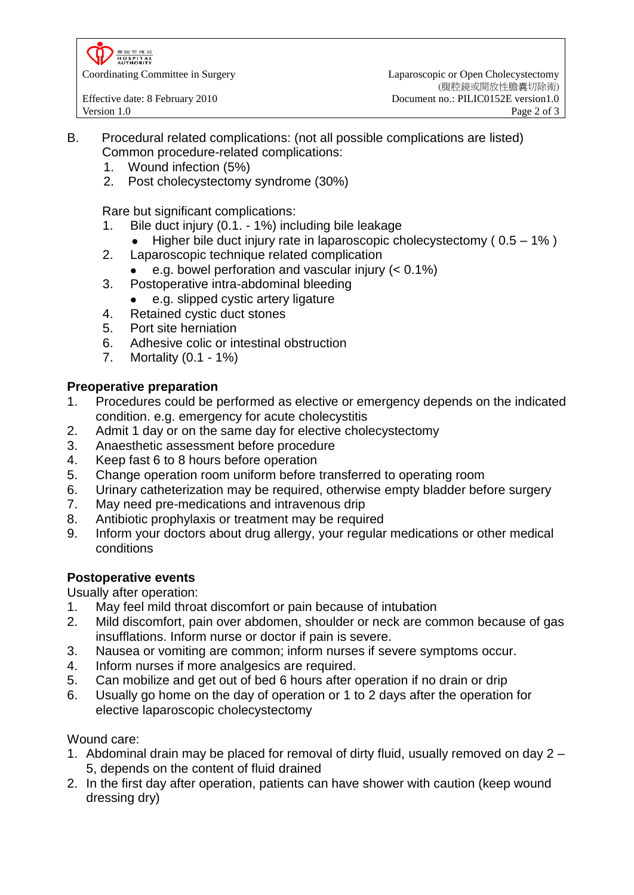置院管理局<br>HOSPITAL<br>AUTHORITY

Coordinating Committee in Surgery Laparoscopic or Open Cholecystectomy (腹腔鏡或開放性膽囊切除術) Effective date: 8 February 2010 Document no.: PILIC0152E version1.0

- B. Procedural related complications: (not all possible complications are listed) Common procedure-related complications:
	- 1. Wound infection (5%)
	- 2. Post cholecystectomy syndrome (30%)

Rare but significant complications:

- 1. Bile duct injury (0.1. 1%) including bile leakage
	- Higher bile duct injury rate in laparoscopic cholecystectomy ( 0.5 1% )
- 2. Laparoscopic technique related complication
	- e.g. bowel perforation and vascular injury (< 0.1%)
- 3. Postoperative intra-abdominal bleeding
	- e.g. slipped cystic artery ligature
- 4. Retained cystic duct stones
- 5. Port site herniation
- 6. Adhesive colic or intestinal obstruction
- 7. Mortality (0.1 1%)

# **Preoperative preparation**

- 1. Procedures could be performed as elective or emergency depends on the indicated condition. e.g. emergency for acute cholecystitis
- 2. Admit 1 day or on the same day for elective cholecystectomy
- 3. Anaesthetic assessment before procedure
- 4. Keep fast 6 to 8 hours before operation
- 5. Change operation room uniform before transferred to operating room
- 6. Urinary catheterization may be required, otherwise empty bladder before surgery
- 7. May need pre-medications and intravenous drip
- 8. Antibiotic prophylaxis or treatment may be required
- 9. Inform your doctors about drug allergy, your regular medications or other medical conditions

# **Postoperative events**

Usually after operation:

- 1. May feel mild throat discomfort or pain because of intubation
- 2. Mild discomfort, pain over abdomen, shoulder or neck are common because of gas insufflations. Inform nurse or doctor if pain is severe.
- 3. Nausea or vomiting are common; inform nurses if severe symptoms occur.
- 4. Inform nurses if more analgesics are required.
- 5. Can mobilize and get out of bed 6 hours after operation if no drain or drip
- 6. Usually go home on the day of operation or 1 to 2 days after the operation for elective laparoscopic cholecystectomy

Wound care:

- 1. Abdominal drain may be placed for removal of dirty fluid, usually removed on day 2 5, depends on the content of fluid drained
- 2. In the first day after operation, patients can have shower with caution (keep wound dressing dry)